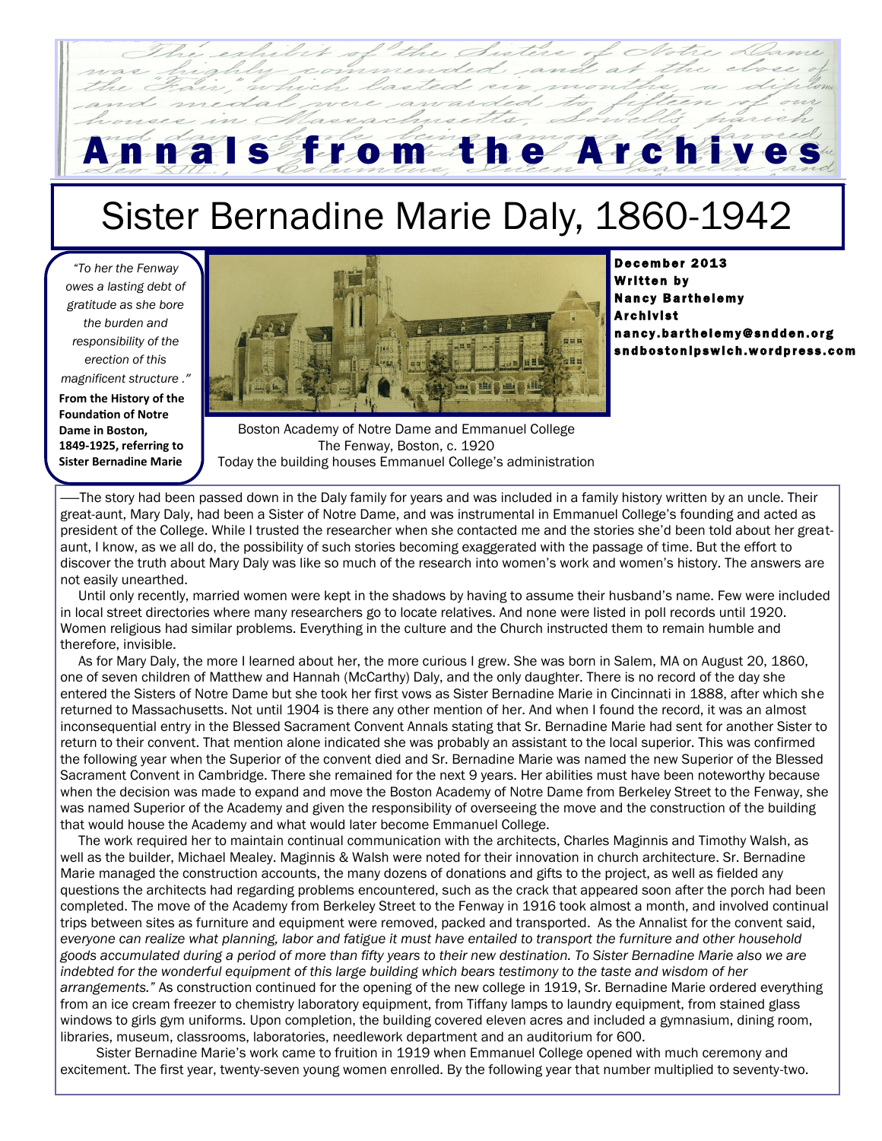## n a l s f r o m t h e A r c h i v e

## Sister Bernadine Marie Daly, 1860-1942

*"To her the Fenway owes a lasting debt of gratitude as she bore the burden and responsibility of the erection of this magnificent structure ."*

**From the History of the Foundation of Notre Dame in Boston, 1849-1925, referring to Sister Bernadine Marie**



December 2013 **Written by Nancy Barthelemy Archivist** n an cy.barthelemy@sndden.org sndbostonipswich.wordpress.com

Boston Academy of Notre Dame and Emmanuel College The Fenway, Boston, c. 1920 Today the building houses Emmanuel College's administration

The story had been passed down in the Daly family for years and was included in a family history written by an uncle. Their great-aunt, Mary Daly, had been a Sister of Notre Dame, and was instrumental in Emmanuel College's founding and acted as president of the College. While I trusted the researcher when she contacted me and the stories she'd been told about her greataunt, I know, as we all do, the possibility of such stories becoming exaggerated with the passage of time. But the effort to discover the truth about Mary Daly was like so much of the research into women's work and women's history. The answers are not easily unearthed.

 Until only recently, married women were kept in the shadows by having to assume their husband's name. Few were included in local street directories where many researchers go to locate relatives. And none were listed in poll records until 1920. Women religious had similar problems. Everything in the culture and the Church instructed them to remain humble and therefore, invisible.

 As for Mary Daly, the more I learned about her, the more curious I grew. She was born in Salem, MA on August 20, 1860, one of seven children of Matthew and Hannah (McCarthy) Daly, and the only daughter. There is no record of the day she entered the Sisters of Notre Dame but she took her first vows as Sister Bernadine Marie in Cincinnati in 1888, after which she returned to Massachusetts. Not until 1904 is there any other mention of her. And when I found the record, it was an almost inconsequential entry in the Blessed Sacrament Convent Annals stating that Sr. Bernadine Marie had sent for another Sister to return to their convent. That mention alone indicated she was probably an assistant to the local superior. This was confirmed the following year when the Superior of the convent died and Sr. Bernadine Marie was named the new Superior of the Blessed Sacrament Convent in Cambridge. There she remained for the next 9 years. Her abilities must have been noteworthy because when the decision was made to expand and move the Boston Academy of Notre Dame from Berkeley Street to the Fenway, she was named Superior of the Academy and given the responsibility of overseeing the move and the construction of the building that would house the Academy and what would later become Emmanuel College.

 The work required her to maintain continual communication with the architects, Charles Maginnis and Timothy Walsh, as well as the builder, Michael Mealey. Maginnis & Walsh were noted for their innovation in church architecture. Sr. Bernadine Marie managed the construction accounts, the many dozens of donations and gifts to the project, as well as fielded any questions the architects had regarding problems encountered, such as the crack that appeared soon after the porch had been completed. The move of the Academy from Berkeley Street to the Fenway in 1916 took almost a month, and involved continual trips between sites as furniture and equipment were removed, packed and transported. As the Annalist for the convent said, *everyone can realize what planning, labor and fatigue it must have entailed to transport the furniture and other household goods accumulated during a period of more than fifty years to their new destination. To Sister Bernadine Marie also we are indebted for the wonderful equipment of this large building which bears testimony to the taste and wisdom of her arrangements."* As construction continued for the opening of the new college in 1919, Sr. Bernadine Marie ordered everything from an ice cream freezer to chemistry laboratory equipment, from Tiffany lamps to laundry equipment, from stained glass windows to girls gym uniforms. Upon completion, the building covered eleven acres and included a gymnasium, dining room, libraries, museum, classrooms, laboratories, needlework department and an auditorium for 600.

 Sister Bernadine Marie's work came to fruition in 1919 when Emmanuel College opened with much ceremony and excitement. The first year, twenty-seven young women enrolled. By the following year that number multiplied to seventy-two.